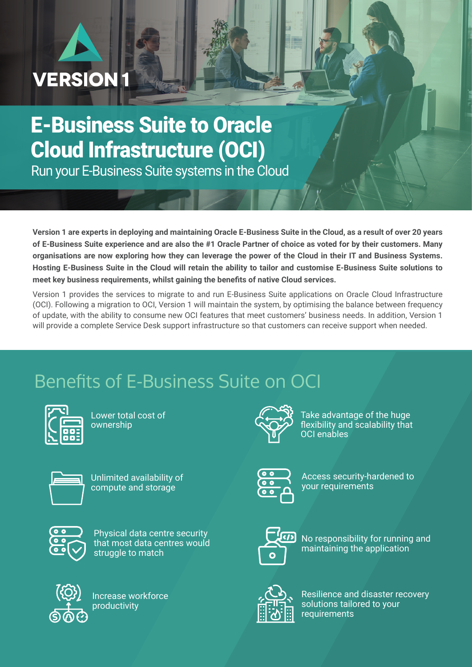# **VERSION1**

# E-Business Suite to Oracle Cloud Infrastructure (OCI)

Run your E-Business Suite systems in the Cloud

**Version 1 are experts in deploying and maintaining Oracle E-Business Suite in the Cloud, as a result of over 20 years of E-Business Suite experience and are also the #1 Oracle Partner of choice as voted for by their customers. Many organisations are now exploring how they can leverage the power of the Cloud in their IT and Business Systems. Hosting E-Business Suite in the Cloud will retain the ability to tailor and customise E-Business Suite solutions to meet key business requirements, whilst gaining the benefits of native Cloud services.** 

Version 1 provides the services to migrate to and run E-Business Suite applications on Oracle Cloud Infrastructure (OCI). Following a migration to OCI, Version 1 will maintain the system, by optimising the balance between frequency of update, with the ability to consume new OCI features that meet customers' business needs. In addition, Version 1 will provide a complete Service Desk support infrastructure so that customers can receive support when needed.

## Benefits of E-Business Suite on OCI



Lower total cost of ownership



Unlimited availability of compute and storage



Physical data centre security that most data centres would struggle to match



Increase workforce productivity



Take advantage of the huge flexibility and scalability that OCI enables

Access security-hardened to your requirements



No responsibility for running and maintaining the application



Resilience and disaster recovery solutions tailored to your requirements